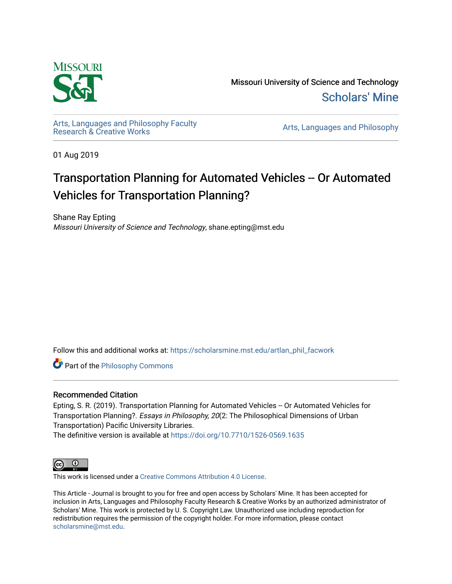

Missouri University of Science and Technology [Scholars' Mine](https://scholarsmine.mst.edu/) 

[Arts, Languages and Philosophy Faculty](https://scholarsmine.mst.edu/artlan_phil_facwork) 

Arts, Languages and Philosophy

01 Aug 2019

### Transportation Planning for Automated Vehicles -- Or Automated Vehicles for Transportation Planning?

Shane Ray Epting Missouri University of Science and Technology, shane.epting@mst.edu

Follow this and additional works at: [https://scholarsmine.mst.edu/artlan\\_phil\\_facwork](https://scholarsmine.mst.edu/artlan_phil_facwork?utm_source=scholarsmine.mst.edu%2Fartlan_phil_facwork%2F145&utm_medium=PDF&utm_campaign=PDFCoverPages) 

**Part of the Philosophy Commons** 

#### Recommended Citation

Epting, S. R. (2019). Transportation Planning for Automated Vehicles -- Or Automated Vehicles for Transportation Planning?. Essays in Philosophy, 20(2: The Philosophical Dimensions of Urban Transportation) Pacific University Libraries.

The definitive version is available at <https://doi.org/10.7710/1526-0569.1635>



This work is licensed under a [Creative Commons Attribution 4.0 License](https://creativecommons.org/licenses/by/4.0/).

This Article - Journal is brought to you for free and open access by Scholars' Mine. It has been accepted for inclusion in Arts, Languages and Philosophy Faculty Research & Creative Works by an authorized administrator of Scholars' Mine. This work is protected by U. S. Copyright Law. Unauthorized use including reproduction for redistribution requires the permission of the copyright holder. For more information, please contact [scholarsmine@mst.edu.](mailto:scholarsmine@mst.edu)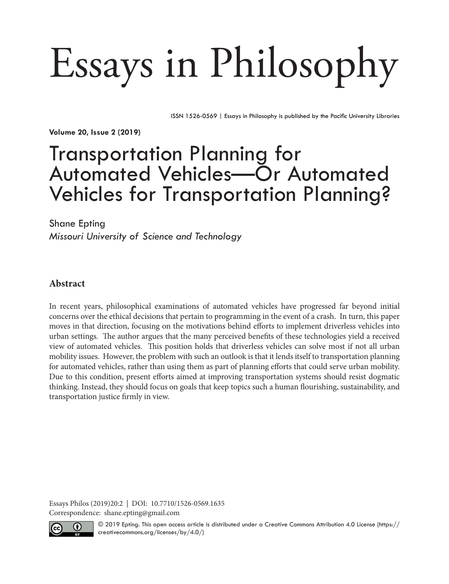# Essays in Philosophy

ISSN 1526-0569 | Essays in Philosophy is published by the Pacific University Libraries

**Volume 20, Issue 2 (2019)**

## Transportation Planning for Automated Vehicles—Or Automated Vehicles for Transportation Planning?

Shane Epting

*Missouri University of Science and Technology*

#### **Abstract**

In recent years, philosophical examinations of automated vehicles have progressed far beyond initial concerns over the ethical decisions that pertain to programming in the event of a crash. In turn, this paper moves in that direction, focusing on the motivations behind efforts to implement driverless vehicles into urban settings. The author argues that the many perceived benefits of these technologies yield a received view of automated vehicles. This position holds that driverless vehicles can solve most if not all urban mobility issues. However, the problem with such an outlook is that it lends itself to transportation planning for automated vehicles, rather than using them as part of planning efforts that could serve urban mobility. Due to this condition, present efforts aimed at improving transportation systems should resist dogmatic thinking. Instead, they should focus on goals that keep topics such a human flourishing, sustainability, and transportation justice firmly in view.

Essays Philos (2019)20:2 | DOI: 10.7710/1526-0569.1635 Correspondence: shane.epting@gmail.com



© 2019 Epting. This open access article is distributed under a Creative Commons Attribution 4.0 License ([https://](https://creativecommons.org/licenses/by/4.0/) [creativecommons.org/licenses/by/4.0/](https://creativecommons.org/licenses/by/4.0/))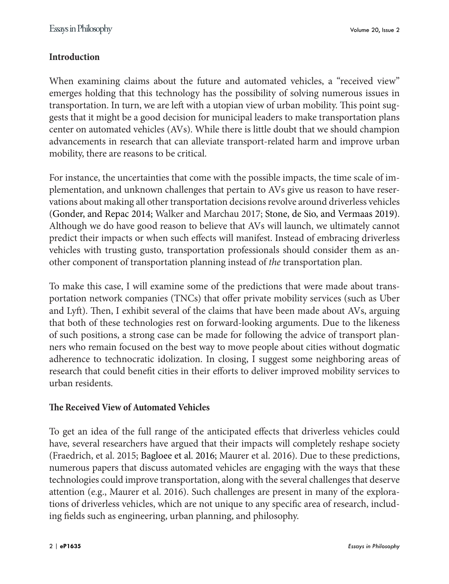#### **Introduction**

When examining claims about the future and automated vehicles, a "received view" emerges holding that this technology has the possibility of solving numerous issues in transportation. In turn, we are left with a utopian view of urban mobility. This point suggests that it might be a good decision for municipal leaders to make transportation plans center on automated vehicles (AVs). While there is little doubt that we should champion advancements in research that can alleviate transport-related harm and improve urban mobility, there are reasons to be critical.

For instance, the uncertainties that come with the possible impacts, the time scale of implementation, and unknown challenges that pertain to AVs give us reason to have reservations about making all other transportation decisions revolve around driverless vehicles (Gonder, and Repac 2014; Walker and Marchau 2017; Stone, de Sio, and Vermaas 2019). Although we do have good reason to believe that AVs will launch, we ultimately cannot predict their impacts or when such effects will manifest. Instead of embracing driverless vehicles with trusting gusto, transportation professionals should consider them as another component of transportation planning instead of *the* transportation plan.

To make this case, I will examine some of the predictions that were made about transportation network companies (TNCs) that offer private mobility services (such as Uber and Lyft). Then, I exhibit several of the claims that have been made about AVs, arguing that both of these technologies rest on forward-looking arguments. Due to the likeness of such positions, a strong case can be made for following the advice of transport planners who remain focused on the best way to move people about cities without dogmatic adherence to technocratic idolization. In closing, I suggest some neighboring areas of research that could benefit cities in their efforts to deliver improved mobility services to urban residents.

#### **The Received View of Automated Vehicles**

To get an idea of the full range of the anticipated effects that driverless vehicles could have, several researchers have argued that their impacts will completely reshape society (Fraedrich, et al. 2015; Bagloee et al. 2016; Maurer et al. 2016). Due to these predictions, numerous papers that discuss automated vehicles are engaging with the ways that these technologies could improve transportation, along with the several challenges that deserve attention (e.g., Maurer et al. 2016). Such challenges are present in many of the explorations of driverless vehicles, which are not unique to any specific area of research, including fields such as engineering, urban planning, and philosophy.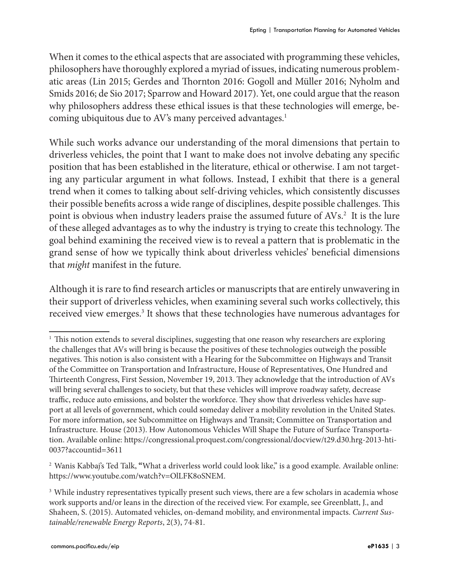When it comes to the ethical aspects that are associated with programming these vehicles, philosophers have thoroughly explored a myriad of issues, indicating numerous problematic areas (Lin 2015; Gerdes and Thornton 2016: Gogoll and Müller 2016; Nyholm and Smids 2016; de Sio 2017; Sparrow and Howard 2017). Yet, one could argue that the reason why philosophers address these ethical issues is that these technologies will emerge, becoming ubiquitous due to AV's many perceived advantages.<sup>1</sup>

While such works advance our understanding of the moral dimensions that pertain to driverless vehicles, the point that I want to make does not involve debating any specific position that has been established in the literature, ethical or otherwise. I am not targeting any particular argument in what follows. Instead, I exhibit that there is a general trend when it comes to talking about self-driving vehicles, which consistently discusses their possible benefits across a wide range of disciplines, despite possible challenges. This point is obvious when industry leaders praise the assumed future of AVs.2 It is the lure of these alleged advantages as to why the industry is trying to create this technology. The goal behind examining the received view is to reveal a pattern that is problematic in the grand sense of how we typically think about driverless vehicles' beneficial dimensions that *might* manifest in the future.

Although it is rare to find research articles or manuscripts that are entirely unwavering in their support of driverless vehicles, when examining several such works collectively, this received view emerges.3 It shows that these technologies have numerous advantages for

<sup>&</sup>lt;sup>1</sup> This notion extends to several disciplines, suggesting that one reason why researchers are exploring the challenges that AVs will bring is because the positives of these technologies outweigh the possible negatives. This notion is also consistent with a Hearing for the Subcommittee on Highways and Transit of the Committee on Transportation and Infrastructure, House of Representatives, One Hundred and Thirteenth Congress, First Session, November 19, 2013. They acknowledge that the introduction of AVs will bring several challenges to society, but that these vehicles will improve roadway safety, decrease traffic, reduce auto emissions, and bolster the workforce. They show that driverless vehicles have support at all levels of government, which could someday deliver a mobility revolution in the United States. For more information, see Subcommittee on Highways and Transit; Committee on Transportation and Infrastructure. House (2013). How Autonomous Vehicles Will Shape the Future of Surface Transportation. Available online: https://congressional.proquest.com/congressional/docview/t29.d30.hrg-2013-hti-0037?accountid=3611

<sup>2</sup> Wanis Kabbaj's Ted Talk, **"**What a driverless world could look like," is a good example. Available online: https://www.youtube.com/watch?v=OlLFK8oSNEM.

<sup>&</sup>lt;sup>3</sup> While industry representatives typically present such views, there are a few scholars in academia whose work supports and/or leans in the direction of the received view. For example, see Greenblatt, J., and Shaheen, S. (2015). Automated vehicles, on-demand mobility, and environmental impacts. *Current Sustainable/renewable Energy Reports*, 2(3), 74-81.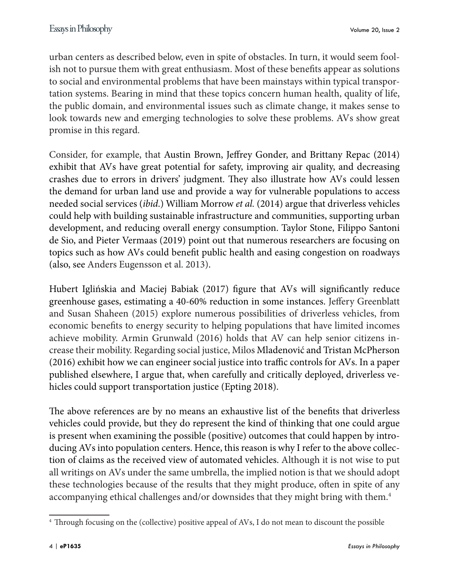urban centers as described below, even in spite of obstacles. In turn, it would seem foolish not to pursue them with great enthusiasm. Most of these benefits appear as solutions to social and environmental problems that have been mainstays within typical transportation systems. Bearing in mind that these topics concern human health, quality of life, the public domain, and environmental issues such as climate change, it makes sense to look towards new and emerging technologies to solve these problems. AVs show great promise in this regard.

Consider, for example, that Austin Brown, Jeffrey Gonder, and Brittany Repac (2014) exhibit that AVs have great potential for safety, improving air quality, and decreasing crashes due to errors in drivers' judgment. They also illustrate how AVs could lessen the demand for urban land use and provide a way for vulnerable populations to access needed social services (*ibid*.) William Morrow *et al.* (2014) argue that driverless vehicles could help with building sustainable infrastructure and communities, supporting urban development, and reducing overall energy consumption. Taylor Stone, Filippo Santoni de Sio, and Pieter Vermaas (2019) point out that numerous researchers are focusing on topics such as how AVs could benefit public health and easing congestion on roadways (also, see Anders Eugensson et al. 2013).

Hubert Iglińskia and Maciej Babiak (2017) figure that AVs will significantly reduce greenhouse gases, estimating a 40-60% reduction in some instances. Jeffery Greenblatt and Susan Shaheen (2015) explore numerous possibilities of driverless vehicles, from economic benefits to energy security to helping populations that have limited incomes achieve mobility. Armin Grunwald (2016) holds that AV can help senior citizens increase their mobility. Regarding social justice, Milos Mladenović and Tristan McPherson (2016) exhibit how we can engineer social justice into traffic controls for AVs. In a paper published elsewhere, I argue that, when carefully and critically deployed, driverless vehicles could support transportation justice (Epting 2018).

The above references are by no means an exhaustive list of the benefits that driverless vehicles could provide, but they do represent the kind of thinking that one could argue is present when examining the possible (positive) outcomes that could happen by introducing AVs into population centers. Hence, this reason is why I refer to the above collection of claims as the received view of automated vehicles. Although it is not wise to put all writings on AVs under the same umbrella, the implied notion is that we should adopt these technologies because of the results that they might produce, often in spite of any accompanying ethical challenges and/or downsides that they might bring with them.4

<sup>4</sup> Through focusing on the (collective) positive appeal of AVs, I do not mean to discount the possible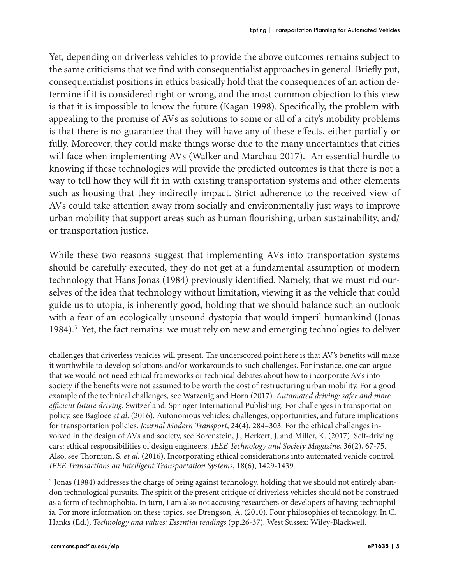Yet, depending on driverless vehicles to provide the above outcomes remains subject to the same criticisms that we find with consequentialist approaches in general. Briefly put, consequentialist positions in ethics basically hold that the consequences of an action determine if it is considered right or wrong, and the most common objection to this view is that it is impossible to know the future (Kagan 1998). Specifically, the problem with appealing to the promise of AVs as solutions to some or all of a city's mobility problems is that there is no guarantee that they will have any of these effects, either partially or fully. Moreover, they could make things worse due to the many uncertainties that cities will face when implementing AVs (Walker and Marchau 2017). An essential hurdle to knowing if these technologies will provide the predicted outcomes is that there is not a way to tell how they will fit in with existing transportation systems and other elements such as housing that they indirectly impact. Strict adherence to the received view of AVs could take attention away from socially and environmentally just ways to improve urban mobility that support areas such as human flourishing, urban sustainability, and/ or transportation justice.

While these two reasons suggest that implementing AVs into transportation systems should be carefully executed, they do not get at a fundamental assumption of modern technology that Hans Jonas (1984) previously identified. Namely, that we must rid ourselves of the idea that technology without limitation, viewing it as the vehicle that could guide us to utopia, is inherently good, holding that we should balance such an outlook with a fear of an ecologically unsound dystopia that would imperil humankind (Jonas 1984).<sup>5</sup> Yet, the fact remains: we must rely on new and emerging technologies to deliver

challenges that driverless vehicles will present. The underscored point here is that AV's benefits will make it worthwhile to develop solutions and/or workarounds to such challenges. For instance, one can argue that we would not need ethical frameworks or technical debates about how to incorporate AVs into society if the benefits were not assumed to be worth the cost of restructuring urban mobility. For a good example of the technical challenges, see Watzenig and Horn (2017). *Automated driving: safer and more efficient future driving*. Switzerland: Springer International Publishing. For challenges in transportation policy, see Bagloee *et al*. (2016). Autonomous vehicles: challenges, opportunities, and future implications for transportation policies. *Journal Modern Transport*, 24(4), 284–303. For the ethical challenges involved in the design of AVs and society, see Borenstein, J., Herkert, J. and Miller, K. (2017). Self-driving cars: ethical responsibilities of design engineers. *IEEE Technology and Society Magazine*, 36(2), 67-75. Also, see Thornton, S. *et al.* (2016). Incorporating ethical considerations into automated vehicle control. *IEEE Transactions on Intelligent Transportation Systems*, 18(6), 1429-1439.

5 Jonas (1984) addresses the charge of being against technology, holding that we should not entirely abandon technological pursuits. The spirit of the present critique of driverless vehicles should not be construed as a form of technophobia. In turn, I am also not accusing researchers or developers of having technophilia. For more information on these topics, see Drengson, A. (2010). Four philosophies of technology. In C. Hanks (Ed.), *Technology and values: Essential readings* (pp.26-37). West Sussex: Wiley-Blackwell.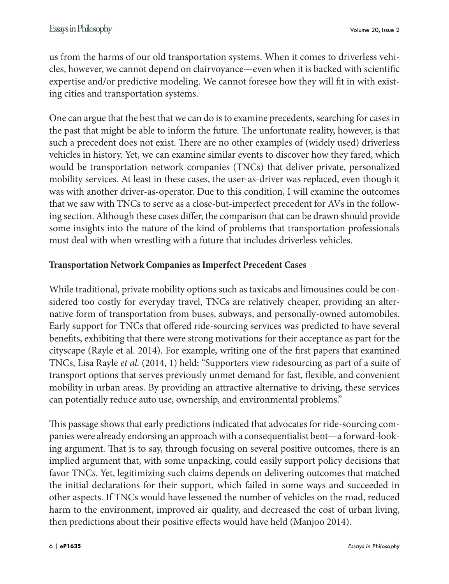us from the harms of our old transportation systems. When it comes to driverless vehicles, however, we cannot depend on clairvoyance—even when it is backed with scientific expertise and/or predictive modeling. We cannot foresee how they will fit in with existing cities and transportation systems.

One can argue that the best that we can do is to examine precedents, searching for cases in the past that might be able to inform the future. The unfortunate reality, however, is that such a precedent does not exist. There are no other examples of (widely used) driverless vehicles in history. Yet, we can examine similar events to discover how they fared, which would be transportation network companies (TNCs) that deliver private, personalized mobility services. At least in these cases, the user-as-driver was replaced, even though it was with another driver-as-operator. Due to this condition, I will examine the outcomes that we saw with TNCs to serve as a close-but-imperfect precedent for AVs in the following section. Although these cases differ, the comparison that can be drawn should provide some insights into the nature of the kind of problems that transportation professionals must deal with when wrestling with a future that includes driverless vehicles.

#### **Transportation Network Companies as Imperfect Precedent Cases**

While traditional, private mobility options such as taxicabs and limousines could be considered too costly for everyday travel, TNCs are relatively cheaper, providing an alternative form of transportation from buses, subways, and personally-owned automobiles. Early support for TNCs that offered ride-sourcing services was predicted to have several benefits, exhibiting that there were strong motivations for their acceptance as part for the cityscape (Rayle et al. 2014). For example, writing one of the first papers that examined TNCs, Lisa Rayle *et al.* (2014, 1) held: "Supporters view ridesourcing as part of a suite of transport options that serves previously unmet demand for fast, flexible, and convenient mobility in urban areas. By providing an attractive alternative to driving, these services can potentially reduce auto use, ownership, and environmental problems."

This passage shows that early predictions indicated that advocates for ride-sourcing companies were already endorsing an approach with a consequentialist bent—a forward-looking argument. That is to say, through focusing on several positive outcomes, there is an implied argument that, with some unpacking, could easily support policy decisions that favor TNCs. Yet, legitimizing such claims depends on delivering outcomes that matched the initial declarations for their support, which failed in some ways and succeeded in other aspects. If TNCs would have lessened the number of vehicles on the road, reduced harm to the environment, improved air quality, and decreased the cost of urban living, then predictions about their positive effects would have held (Manjoo 2014).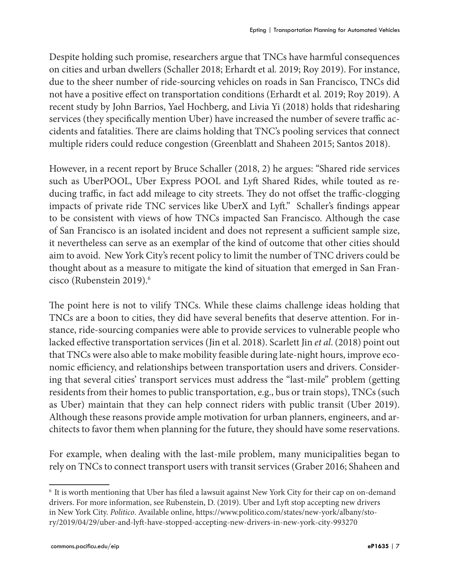Despite holding such promise, researchers argue that TNCs have harmful consequences on cities and urban dwellers (Schaller 2018; Erhardt et al*.* 2019; Roy 2019). For instance, due to the sheer number of ride-sourcing vehicles on roads in San Francisco, TNCs did not have a positive effect on transportation conditions (Erhardt et al*.* 2019; Roy 2019). A recent study by John Barrios, Yael Hochberg, and Livia Yi (2018) holds that ridesharing services (they specifically mention Uber) have increased the number of severe traffic accidents and fatalities. There are claims holding that TNC's pooling services that connect multiple riders could reduce congestion (Greenblatt and Shaheen 2015; Santos 2018).

However, in a recent report by Bruce Schaller (2018, 2) he argues: "Shared ride services such as UberPOOL, Uber Express POOL and Lyft Shared Rides, while touted as reducing traffic, in fact add mileage to city streets. They do not offset the traffic-clogging impacts of private ride TNC services like UberX and Lyft." Schaller's findings appear to be consistent with views of how TNCs impacted San Francisco. Although the case of San Francisco is an isolated incident and does not represent a sufficient sample size, it nevertheless can serve as an exemplar of the kind of outcome that other cities should aim to avoid. New York City's recent policy to limit the number of TNC drivers could be thought about as a measure to mitigate the kind of situation that emerged in San Francisco (Rubenstein 2019).<sup>6</sup>

The point here is not to vilify TNCs. While these claims challenge ideas holding that TNCs are a boon to cities, they did have several benefits that deserve attention. For instance, ride-sourcing companies were able to provide services to vulnerable people who lacked effective transportation services (Jin et al. 2018). Scarlett Jin *et al*. (2018) point out that TNCs were also able to make mobility feasible during late-night hours, improve economic efficiency, and relationships between transportation users and drivers. Considering that several cities' transport services must address the "last-mile" problem (getting residents from their homes to public transportation, e.g., bus or train stops), TNCs (such as Uber) maintain that they can help connect riders with public transit (Uber 2019). Although these reasons provide ample motivation for urban planners, engineers, and architects to favor them when planning for the future, they should have some reservations.

For example, when dealing with the last-mile problem, many municipalities began to rely on TNCs to connect transport users with transit services (Graber 2016; Shaheen and

<sup>6</sup> It is worth mentioning that Uber has filed a lawsuit against New York City for their cap on on-demand drivers. For more information, see Rubenstein, D. (2019). Uber and Lyft stop accepting new drivers in New York City. *Politico*. Available online, https://www.politico.com/states/new-york/albany/story/2019/04/29/uber-and-lyft-have-stopped-accepting-new-drivers-in-new-york-city-993270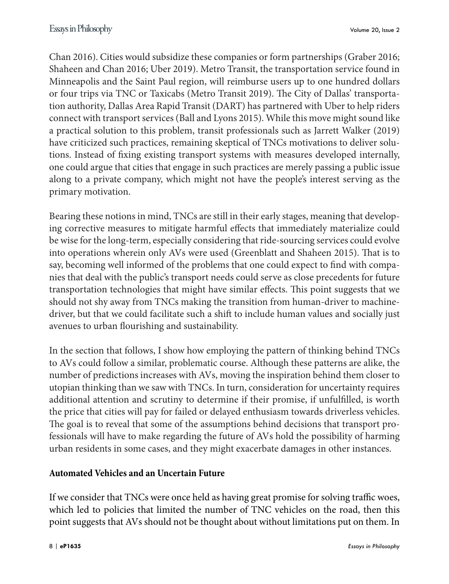Chan 2016). Cities would subsidize these companies or form partnerships (Graber 2016; Shaheen and Chan 2016; Uber 2019). Metro Transit, the transportation service found in Minneapolis and the Saint Paul region, will reimburse users up to one hundred dollars or four trips via TNC or Taxicabs (Metro Transit 2019). The City of Dallas' transportation authority, Dallas Area Rapid Transit (DART) has partnered with Uber to help riders connect with transport services (Ball and Lyons 2015). While this move might sound like a practical solution to this problem, transit professionals such as Jarrett Walker (2019) have criticized such practices, remaining skeptical of TNCs motivations to deliver solutions. Instead of fixing existing transport systems with measures developed internally, one could argue that cities that engage in such practices are merely passing a public issue along to a private company, which might not have the people's interest serving as the primary motivation.

Bearing these notions in mind, TNCs are still in their early stages, meaning that developing corrective measures to mitigate harmful effects that immediately materialize could be wise for the long-term, especially considering that ride-sourcing services could evolve into operations wherein only AVs were used (Greenblatt and Shaheen 2015). That is to say, becoming well informed of the problems that one could expect to find with companies that deal with the public's transport needs could serve as close precedents for future transportation technologies that might have similar effects. This point suggests that we should not shy away from TNCs making the transition from human-driver to machinedriver, but that we could facilitate such a shift to include human values and socially just avenues to urban flourishing and sustainability.

In the section that follows, I show how employing the pattern of thinking behind TNCs to AVs could follow a similar, problematic course. Although these patterns are alike, the number of predictions increases with AVs, moving the inspiration behind them closer to utopian thinking than we saw with TNCs. In turn, consideration for uncertainty requires additional attention and scrutiny to determine if their promise, if unfulfilled, is worth the price that cities will pay for failed or delayed enthusiasm towards driverless vehicles. The goal is to reveal that some of the assumptions behind decisions that transport professionals will have to make regarding the future of AVs hold the possibility of harming urban residents in some cases, and they might exacerbate damages in other instances.

#### **Automated Vehicles and an Uncertain Future**

If we consider that TNCs were once held as having great promise for solving traffic woes, which led to policies that limited the number of TNC vehicles on the road, then this point suggests that AVs should not be thought about without limitations put on them. In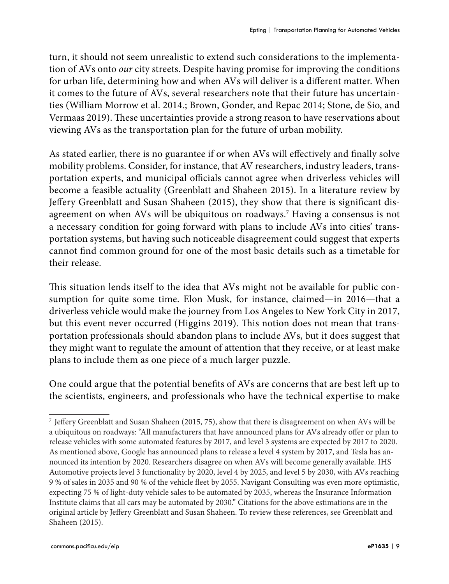turn, it should not seem unrealistic to extend such considerations to the implementation of AVs onto *our* city streets. Despite having promise for improving the conditions for urban life, determining how and when AVs will deliver is a different matter. When it comes to the future of AVs, several researchers note that their future has uncertainties (William Morrow et al. 2014.; Brown, Gonder, and Repac 2014; Stone, de Sio, and Vermaas 2019). These uncertainties provide a strong reason to have reservations about viewing AVs as the transportation plan for the future of urban mobility.

As stated earlier, there is no guarantee if or when AVs will effectively and finally solve mobility problems. Consider, for instance, that AV researchers, industry leaders, transportation experts, and municipal officials cannot agree when driverless vehicles will become a feasible actuality (Greenblatt and Shaheen 2015). In a literature review by Jeffery Greenblatt and Susan Shaheen (2015), they show that there is significant disagreement on when AVs will be ubiquitous on roadways.7 Having a consensus is not a necessary condition for going forward with plans to include AVs into cities' transportation systems, but having such noticeable disagreement could suggest that experts cannot find common ground for one of the most basic details such as a timetable for their release.

This situation lends itself to the idea that AVs might not be available for public consumption for quite some time. Elon Musk, for instance, claimed—in 2016—that a driverless vehicle would make the journey from Los Angeles to New York City in 2017, but this event never occurred (Higgins 2019). This notion does not mean that transportation professionals should abandon plans to include AVs, but it does suggest that they might want to regulate the amount of attention that they receive, or at least make plans to include them as one piece of a much larger puzzle.

One could argue that the potential benefits of AVs are concerns that are best left up to the scientists, engineers, and professionals who have the technical expertise to make

<sup>7</sup> Jeffery Greenblatt and Susan Shaheen (2015, 75), show that there is disagreement on when AVs will be a ubiquitous on roadways: "All manufacturers that have announced plans for AVs already offer or plan to release vehicles with some automated features by 2017, and level 3 systems are expected by 2017 to 2020. As mentioned above, Google has announced plans to release a level 4 system by 2017, and Tesla has announced its intention by 2020. Researchers disagree on when AVs will become generally available. IHS Automotive projects level 3 functionality by 2020, level 4 by 2025, and level 5 by 2030, with AVs reaching 9 % of sales in 2035 and 90 % of the vehicle fleet by 2055. Navigant Consulting was even more optimistic, expecting 75 % of light-duty vehicle sales to be automated by 2035, whereas the Insurance Information Institute claims that all cars may be automated by 2030." Citations for the above estimations are in the original article by Jeffery Greenblatt and Susan Shaheen. To review these references, see Greenblatt and Shaheen (2015).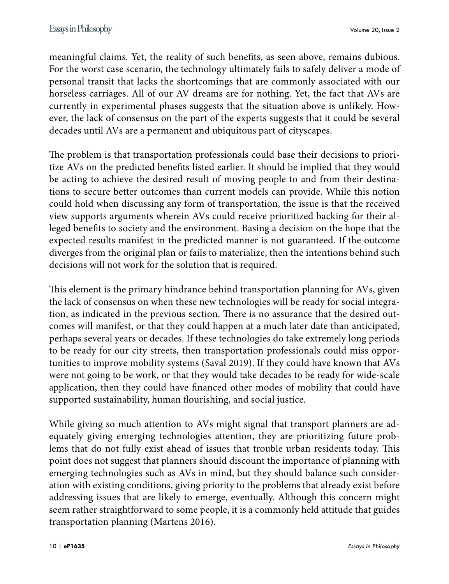meaningful claims. Yet, the reality of such benefits, as seen above, remains dubious. For the worst case scenario, the technology ultimately fails to safely deliver a mode of personal transit that lacks the shortcomings that are commonly associated with our horseless carriages. All of our AV dreams are for nothing. Yet, the fact that AVs are currently in experimental phases suggests that the situation above is unlikely. However, the lack of consensus on the part of the experts suggests that it could be several decades until AVs are a permanent and ubiquitous part of cityscapes.

The problem is that transportation professionals could base their decisions to prioritize AVs on the predicted benefits listed earlier. It should be implied that they would be acting to achieve the desired result of moving people to and from their destinations to secure better outcomes than current models can provide. While this notion could hold when discussing any form of transportation, the issue is that the received view supports arguments wherein AVs could receive prioritized backing for their alleged benefits to society and the environment. Basing a decision on the hope that the expected results manifest in the predicted manner is not guaranteed. If the outcome diverges from the original plan or fails to materialize, then the intentions behind such decisions will not work for the solution that is required.

This element is the primary hindrance behind transportation planning for AVs, given the lack of consensus on when these new technologies will be ready for social integration, as indicated in the previous section. There is no assurance that the desired outcomes will manifest, or that they could happen at a much later date than anticipated, perhaps several years or decades. If these technologies do take extremely long periods to be ready for our city streets, then transportation professionals could miss opportunities to improve mobility systems (Saval 2019). If they could have known that AVs were not going to be work, or that they would take decades to be ready for wide-scale application, then they could have financed other modes of mobility that could have supported sustainability, human flourishing, and social justice.

While giving so much attention to AVs might signal that transport planners are adequately giving emerging technologies attention, they are prioritizing future problems that do not fully exist ahead of issues that trouble urban residents today. This point does not suggest that planners should discount the importance of planning with emerging technologies such as AVs in mind, but they should balance such consideration with existing conditions, giving priority to the problems that already exist before addressing issues that are likely to emerge, eventually. Although this concern might seem rather straightforward to some people, it is a commonly held attitude that guides transportation planning (Martens 2016).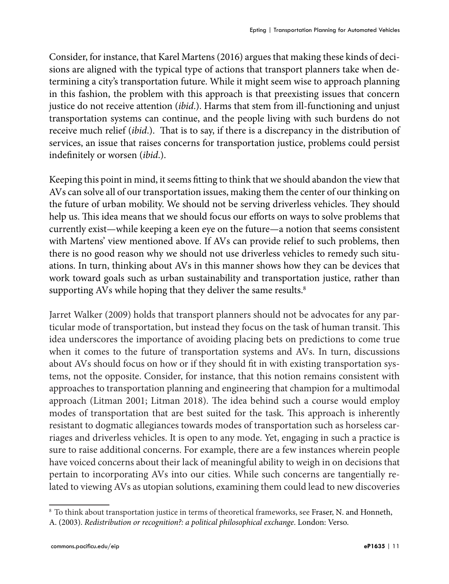Consider, for instance, that Karel Martens (2016) argues that making these kinds of decisions are aligned with the typical type of actions that transport planners take when determining a city's transportation future. While it might seem wise to approach planning in this fashion, the problem with this approach is that preexisting issues that concern justice do not receive attention (*ibid*.). Harms that stem from ill-functioning and unjust transportation systems can continue, and the people living with such burdens do not receive much relief (*ibid*.). That is to say, if there is a discrepancy in the distribution of services, an issue that raises concerns for transportation justice, problems could persist indefinitely or worsen (*ibid*.).

Keeping this point in mind, it seems fitting to think that we should abandon the view that AVs can solve all of our transportation issues, making them the center of our thinking on the future of urban mobility. We should not be serving driverless vehicles. They should help us. This idea means that we should focus our efforts on ways to solve problems that currently exist—while keeping a keen eye on the future—a notion that seems consistent with Martens' view mentioned above. If AVs can provide relief to such problems, then there is no good reason why we should not use driverless vehicles to remedy such situations. In turn, thinking about AVs in this manner shows how they can be devices that work toward goals such as urban sustainability and transportation justice, rather than supporting AVs while hoping that they deliver the same results.<sup>8</sup>

Jarret Walker (2009) holds that transport planners should not be advocates for any particular mode of transportation, but instead they focus on the task of human transit. This idea underscores the importance of avoiding placing bets on predictions to come true when it comes to the future of transportation systems and AVs. In turn, discussions about AVs should focus on how or if they should fit in with existing transportation systems, not the opposite. Consider, for instance, that this notion remains consistent with approaches to transportation planning and engineering that champion for a multimodal approach (Litman 2001; Litman 2018). The idea behind such a course would employ modes of transportation that are best suited for the task. This approach is inherently resistant to dogmatic allegiances towards modes of transportation such as horseless carriages and driverless vehicles. It is open to any mode. Yet, engaging in such a practice is sure to raise additional concerns. For example, there are a few instances wherein people have voiced concerns about their lack of meaningful ability to weigh in on decisions that pertain to incorporating AVs into our cities. While such concerns are tangentially related to viewing AVs as utopian solutions, examining them could lead to new discoveries

<sup>8</sup> To think about transportation justice in terms of theoretical frameworks, see Fraser, N. and Honneth,

A. (2003). *Redistribution or recognition?: a political philosophical exchange*. London: Verso.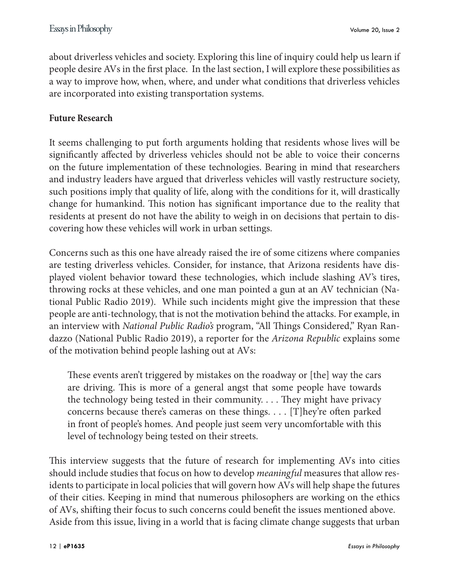about driverless vehicles and society. Exploring this line of inquiry could help us learn if people desire AVs in the first place. In the last section, I will explore these possibilities as a way to improve how, when, where, and under what conditions that driverless vehicles are incorporated into existing transportation systems.

#### **Future Research**

It seems challenging to put forth arguments holding that residents whose lives will be significantly affected by driverless vehicles should not be able to voice their concerns on the future implementation of these technologies. Bearing in mind that researchers and industry leaders have argued that driverless vehicles will vastly restructure society, such positions imply that quality of life, along with the conditions for it, will drastically change for humankind. This notion has significant importance due to the reality that residents at present do not have the ability to weigh in on decisions that pertain to discovering how these vehicles will work in urban settings.

Concerns such as this one have already raised the ire of some citizens where companies are testing driverless vehicles. Consider, for instance, that Arizona residents have displayed violent behavior toward these technologies, which include slashing AV's tires, throwing rocks at these vehicles, and one man pointed a gun at an AV technician (National Public Radio 2019). While such incidents might give the impression that these people are anti-technology, that is not the motivation behind the attacks. For example, in an interview with *National Public Radio's* program, "All Things Considered," Ryan Randazzo (National Public Radio 2019), a reporter for the *Arizona Republic* explains some of the motivation behind people lashing out at AVs:

These events aren't triggered by mistakes on the roadway or [the] way the cars are driving. This is more of a general angst that some people have towards the technology being tested in their community. . . . They might have privacy concerns because there's cameras on these things. . . . [T]hey're often parked in front of people's homes. And people just seem very uncomfortable with this level of technology being tested on their streets.

This interview suggests that the future of research for implementing AVs into cities should include studies that focus on how to develop *meaningful* measures that allow residents to participate in local policies that will govern how AVs will help shape the futures of their cities. Keeping in mind that numerous philosophers are working on the ethics of AVs, shifting their focus to such concerns could benefit the issues mentioned above. Aside from this issue, living in a world that is facing climate change suggests that urban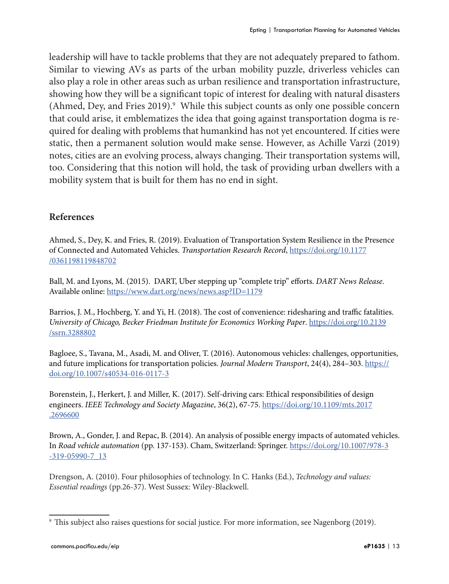leadership will have to tackle problems that they are not adequately prepared to fathom. Similar to viewing AVs as parts of the urban mobility puzzle, driverless vehicles can also play a role in other areas such as urban resilience and transportation infrastructure, showing how they will be a significant topic of interest for dealing with natural disasters (Ahmed, Dey, and Fries 2019).<sup>9</sup> While this subject counts as only one possible concern that could arise, it emblematizes the idea that going against transportation dogma is required for dealing with problems that humankind has not yet encountered. If cities were static, then a permanent solution would make sense. However, as Achille Varzi (2019) notes, cities are an evolving process, always changing. Their transportation systems will, too. Considering that this notion will hold, the task of providing urban dwellers with a mobility system that is built for them has no end in sight.

#### **References**

Ahmed, S., Dey, K. and Fries, R. (2019). Evaluation of Transportation System Resilience in the Presence of Connected and Automated Vehicles. *Transportation Research Record*, [https://doi.org/10.1177](https://doi.org/10.1177/0361198119848702) [/0361198119848702](https://doi.org/10.1177/0361198119848702)

Ball, M. and Lyons, M. (2015). DART, Uber stepping up "complete trip" efforts. *DART News Release*. Available online:<https://www.dart.org/news/news.asp?ID=1179>

Barrios, J. M., Hochberg, Y. and Yi, H. (2018). The cost of convenience: ridesharing and traffic fatalities. *University of Chicago, Becker Friedman Institute for Economics Working Paper*. [https://doi.org/10.2139](https://doi.org/10.2139/ssrn.3288802) [/ssrn.3288802](https://doi.org/10.2139/ssrn.3288802)

Bagloee, S., Tavana, M., Asadi, M. and Oliver, T. (2016). Autonomous vehicles: challenges, opportunities, and future implications for transportation policies. *Journal Modern Transport*, 24(4), 284–303. [https://](https://doi.org/10.1007/s40534-016-0117-3) [doi.org/10.1007/s40534-016-0117-3](https://doi.org/10.1007/s40534-016-0117-3)

Borenstein, J., Herkert, J. and Miller, K. (2017). Self-driving cars: Ethical responsibilities of design engineers. *IEEE Technology and Society Magazine*, 36(2), 67-75. [https://doi.org/10.1109/mts.2017](https://doi.org/10.1109/mts.2017.2696600) [.2696600](https://doi.org/10.1109/mts.2017.2696600)

Brown, A., Gonder, J. and Repac, B. (2014). An analysis of possible energy impacts of automated vehicles. In *Road vehicle automation* (pp. 137-153). Cham, Switzerland: Springer. [https://doi.org/10.1007/978-3](https://doi.org/10.1007/978-3-319-05990-7_13) [-319-05990-7\\_13](https://doi.org/10.1007/978-3-319-05990-7_13)

Drengson, A. (2010). Four philosophies of technology. In C. Hanks (Ed.), *Technology and values: Essential readings* (pp.26-37). West Sussex: Wiley-Blackwell.

<sup>9</sup> This subject also raises questions for social justice. For more information, see Nagenborg (2019).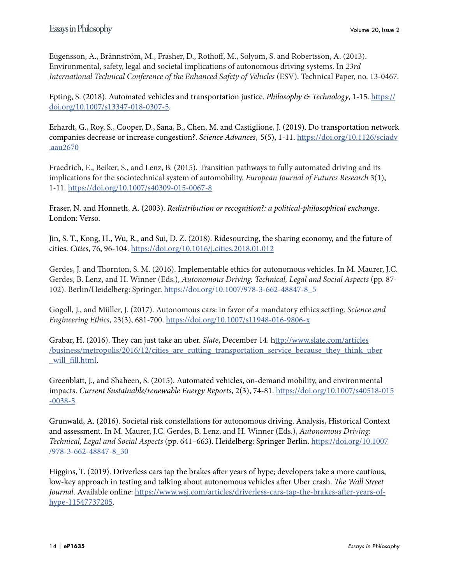Eugensson, A., Brännström, M., Frasher, D., Rothoff, M., Solyom, S. and Robertsson, A. (2013). Environmental, safety, legal and societal implications of autonomous driving systems. In *23rd International Technical Conference of the Enhanced Safety of Vehicles* (ESV). Technical Paper, no. 13-0467.

Epting, S. (2018). Automated vehicles and transportation justice. *Philosophy & Technology*, 1-15. [https://](https://doi.org/10.1007/s13347-018-0307-5) [doi.org/10.1007/s13347-018-0307-5](https://doi.org/10.1007/s13347-018-0307-5).

Erhardt, G., Roy, S., Cooper, D., Sana, B., Chen, M. and Castiglione, J. (2019). Do transportation network companies decrease or increase congestion?. *Science Advances*, 5(5), 1-11. [https://doi.org/10.1126/sciadv](https://doi.org/10.1126/sciadv.aau2670) [.aau2670](https://doi.org/10.1126/sciadv.aau2670)

Fraedrich, E., Beiker, S., and Lenz, B. (2015). Transition pathways to fully automated driving and its implications for the sociotechnical system of automobility. *European Journal of Futures Research* 3(1), 1-11.<https://doi.org/10.1007/s40309-015-0067-8>

Fraser, N. and Honneth, A. (2003). *Redistribution or recognition?: a political-philosophical exchange*. London: Verso.

Jin, S. T., Kong, H., Wu, R., and Sui, D. Z. (2018). Ridesourcing, the sharing economy, and the future of cities. *Cities*, 76, 96-104.<https://doi.org/10.1016/j.cities.2018.01.012>

Gerdes, J. and Thornton, S. M. (2016). Implementable ethics for autonomous vehicles. In M. Maurer, J.C. Gerdes, B. Lenz, and H. Winner (Eds.), *Autonomous Driving: Technical, Legal and Social Aspects* (pp. 87- 102). Berlin/Heidelberg: Springer. [https://doi.org/10.1007/978-3-662-48847-8\\_5](https://doi.org/10.1007/978-3-662-48847-8_5)

Gogoll, J., and Müller, J. (2017). Autonomous cars: in favor of a mandatory ethics setting. *Science and Engineering Ethics*, 23(3), 681-700. <https://doi.org/10.1007/s11948-016-9806-x>

Grabar, H. (2016). They can just take an uber. *Slate*, December 14. [http://www.slate.com/articles](ttp://www.slate.com/articles/business/metropolis/2016/12/cities_are_cutting_transportation_service_because_they_think_uber_will_fill.html) /business/metropolis/2016/12/cities are cutting transportation service because they think uber will\_fill.html.

Greenblatt, J., and Shaheen, S. (2015). Automated vehicles, on-demand mobility, and environmental impacts. *Current Sustainable/renewable Energy Reports*, 2(3), 74-81. [https://doi.org/10.1007/s40518-015](https://doi.org/10.1007/s40518-015-0038-5) [-0038-5](https://doi.org/10.1007/s40518-015-0038-5)

Grunwald, A. (2016). Societal risk constellations for autonomous driving. Analysis, Historical Context and assessment. In M. Maurer, J.C. Gerdes, B. Lenz, and H. Winner (Eds.), *Autonomous Driving: Technical, Legal and Social Aspects* (pp. 641–663). Heidelberg: Springer Berlin. [https://doi.org/10.1007](https://doi.org/10.1007/978-3-662-48847-8_30) [/978-3-662-48847-8\\_30](https://doi.org/10.1007/978-3-662-48847-8_30)

Higgins, T. (2019). Driverless cars tap the brakes after years of hype; developers take a more cautious, low-key approach in testing and talking about autonomous vehicles after Uber crash. *The Wall Street Journal*. Available online: [https://www.wsj.com/articles/driverless-cars-tap-the-brakes-after-years-of](https://www.wsj.com/articles/driverless-cars-tap-the-brakes-after-years-of-hype-11547737205)[hype-11547737205](https://www.wsj.com/articles/driverless-cars-tap-the-brakes-after-years-of-hype-11547737205).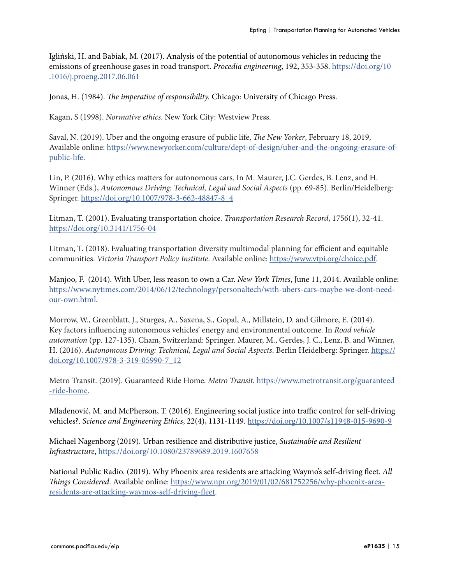Igliński, H. and Babiak, M. (2017). Analysis of the potential of autonomous vehicles in reducing the emissions of greenhouse gases in road transport. *Procedia engineering*, 192, 353-358. [https://doi.org/10](https://doi.org/10.1016/j.proeng.2017.06.061) [.1016/j.proeng.2017.06.061](https://doi.org/10.1016/j.proeng.2017.06.061)

Jonas, H. (1984). *The imperative of responsibility.* Chicago: University of Chicago Press.

Kagan, S (1998). *Normative ethics*. New York City: Westview Press.

Saval, N. (2019). Uber and the ongoing erasure of public life, *The New Yorker*, February 18, 2019, Available online: [https://www.newyorker.com/culture/dept-of-design/uber-and-the-ongoing-erasure-of](https://www.newyorker.com/culture/dept-of-design/uber-and-the-ongoing-erasure-of-public-life)[public-life](https://www.newyorker.com/culture/dept-of-design/uber-and-the-ongoing-erasure-of-public-life).

Lin, P. (2016). Why ethics matters for autonomous cars. In M. Maurer, J.C. Gerdes, B. Lenz, and H. Winner (Eds.), *Autonomous Driving: Technical, Legal and Social Aspects* (pp. 69-85). Berlin/Heidelberg: Springer. [https://doi.org/10.1007/978-3-662-48847-8\\_4](https://doi.org/10.1007/978-3-662-48847-8_4)

Litman, T. (2001). Evaluating transportation choice. *Transportation Research Record*, 1756(1), 32-41. <https://doi.org/10.3141/1756-04>

Litman, T. (2018). Evaluating transportation diversity multimodal planning for efficient and equitable communities. *Victoria Transport Policy Institute*. Available online:<https://www.vtpi.org/choice.pdf>.

Manjoo, F. (2014). With Uber, less reason to own a Car. *New York Times*, June 11, 2014. Available online: [https://www.nytimes.com/2014/06/12/technology/personaltech/with-ubers-cars-maybe-we-dont-need](https://www.nytimes.com/2014/06/12/technology/personaltech/with-ubers-cars-maybe-we-dont-need-our-own.html)[our-own.html](https://www.nytimes.com/2014/06/12/technology/personaltech/with-ubers-cars-maybe-we-dont-need-our-own.html).

Morrow, W., Greenblatt, J., Sturges, A., Saxena, S., Gopal, A., Millstein, D. and Gilmore, E. (2014). Key factors influencing autonomous vehicles' energy and environmental outcome. In *Road vehicle automation* (pp. 127-135). Cham, Switzerland: Springer. Maurer, M., Gerdes, J. C., Lenz, B. and Winner, H. (2016). *Autonomous Driving: Technical, Legal and Social Aspects*. Berlin Heidelberg: Springer. [https://](https://doi.org/10.1007/978-3-319-05990-7_12) [doi.org/10.1007/978-3-319-05990-7\\_12](https://doi.org/10.1007/978-3-319-05990-7_12)

Metro Transit. (2019). Guaranteed Ride Home. *Metro Transit*. [https://www.metrotransit.org/guaranteed](https://www.metrotransit.org/guaranteed-ride-home) [-ride-home](https://www.metrotransit.org/guaranteed-ride-home).

Mladenović, M. and McPherson, T. (2016). Engineering social justice into traffic control for self-driving vehicles?. *Science and Engineering Ethics*, 22(4), 1131-1149. <https://doi.org/10.1007/s11948-015-9690-9>

Michael Nagenborg (2019). Urban resilience and distributive justice, *Sustainable and Resilient Infrastructure*,<https://doi.org/10.1080/23789689.2019.1607658>

National Public Radio. (2019). Why Phoenix area residents are attacking Waymo's self-driving fleet. *All Things Considered*. Available online: [https://www.npr.org/2019/01/02/681752256/why-phoenix-area](https://www.npr.org/2019/01/02/681752256/why-phoenix-area-residents-are-attacking-waymos-self-driving-fleet)[residents-are-attacking-waymos-self-driving-fleet](https://www.npr.org/2019/01/02/681752256/why-phoenix-area-residents-are-attacking-waymos-self-driving-fleet).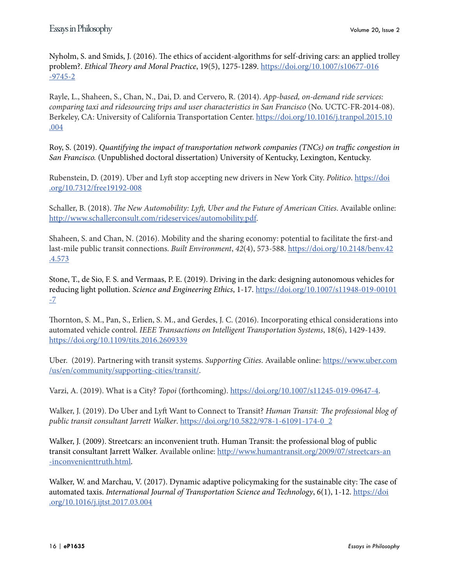Nyholm, S. and Smids, J. (2016). The ethics of accident-algorithms for self-driving cars: an applied trolley problem?. *Ethical Theory and Moral Practice*, 19(5), 1275-1289. [https://doi.org/10.1007/s10677-016](https://doi.org/10.1007/s10677-016-9745-2) [-9745-2](https://doi.org/10.1007/s10677-016-9745-2)

Rayle, L., Shaheen, S., Chan, N., Dai, D. and Cervero, R. (2014). *App-based, on-demand ride services: comparing taxi and ridesourcing trips and user characteristics in San Francisco* (No. UCTC-FR-2014-08). Berkeley, CA: University of California Transportation Center. [https://doi.org/10.1016/j.tranpol.2015.10](https://doi.org/10.1016/j.tranpol.2015.10.004) [.004](https://doi.org/10.1016/j.tranpol.2015.10.004)

Roy, S. (2019). *Quantifying the impact of transportation network companies (TNCs) on traffic congestion in San Francisco.* (Unpublished doctoral dissertation) University of Kentucky, Lexington, Kentucky.

Rubenstein, D. (2019). Uber and Lyft stop accepting new drivers in New York City. *Politico*. [https://doi](https://doi.org/10.7312/free19192-008) [.org/10.7312/free19192-008](https://doi.org/10.7312/free19192-008)

Schaller, B. (2018). *The New Automobility: Lyft, Uber and the Future of American Cities*. Available online: [http://www.schallerconsult.com/rideservices/automobility.pdf.](http://www.schallerconsult.com/rideservices/automobility.pdf)

Shaheen, S. and Chan, N. (2016). Mobility and the sharing economy: potential to facilitate the first-and last-mile public transit connections. *Built Environment*, *42*(4), 573-588. [https://doi.org/10.2148/benv.42](https://doi.org/10.2148/benv.42.4.573) [.4.573](https://doi.org/10.2148/benv.42.4.573)

Stone, T., de Sio, F. S. and Vermaas, P. E. (2019). Driving in the dark: designing autonomous vehicles for reducing light pollution. *Science and Engineering Ethics*, 1-17. [https://doi.org/10.1007/s11948-019-00101](https://doi.org/10.1007/s11948-019-00101-7) [-7](https://doi.org/10.1007/s11948-019-00101-7)

Thornton, S. M., Pan, S., Erlien, S. M., and Gerdes, J. C. (2016). Incorporating ethical considerations into automated vehicle control. *IEEE Transactions on Intelligent Transportation Systems*, 18(6), 1429-1439. <https://doi.org/10.1109/tits.2016.2609339>

Uber. (2019). Partnering with transit systems. *Supporting Cities*. Available online: [https://www.uber.com](https://www.uber.com/us/en/community/supporting-cities/transit/) [/us/en/community/supporting-cities/transit/](https://www.uber.com/us/en/community/supporting-cities/transit/).

Varzi, A. (2019). What is a City? *Topoi* (forthcoming). [https://doi.org/10.1007/s11245-019-09647-4.](https://doi.org/10.1007/s11245-019-09647-4)

Walker, J. (2019). Do Uber and Lyft Want to Connect to Transit? *Human Transit: The professional blog of public transit consultant Jarrett Walker*. [https://doi.org/10.5822/978-1-61091-174-0\\_2](https://doi.org/10.5822/978-1-61091-174-0_2)

Walker, J. (2009). Streetcars: an inconvenient truth. Human Transit: the professional blog of public transit consultant Jarrett Walker. Available online: [http://www.humantransit.org/2009/07/streetcars-an](http://www.humantransit.org/2009/07/streetcars-an-inconvenienttruth.html) [-inconvenienttruth.html.](http://www.humantransit.org/2009/07/streetcars-an-inconvenienttruth.html)

Walker, W. and Marchau, V. (2017). Dynamic adaptive policymaking for the sustainable city: The case of automated taxis. *International Journal of Transportation Science and Technology*, 6(1), 1-12. [https://doi](https://doi.org/10.1016/j.ijtst.2017.03.004) [.org/10.1016/j.ijtst.2017.03.004](https://doi.org/10.1016/j.ijtst.2017.03.004)